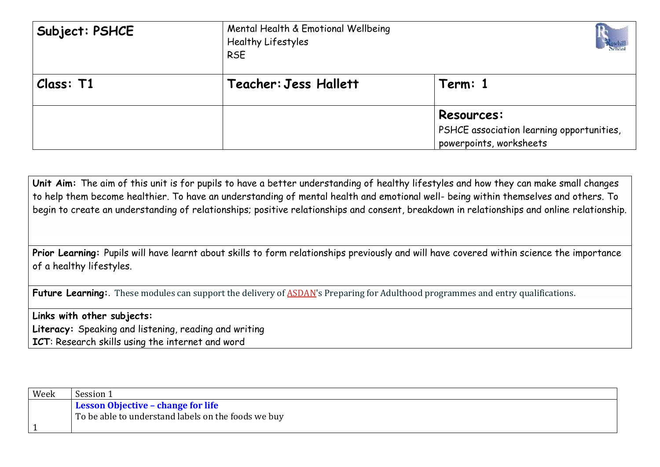| Subject: PSHCE | Mental Health & Emotional Wellbeing<br>Healthy Lifestyles<br><b>RSE</b> |                                                                                           |
|----------------|-------------------------------------------------------------------------|-------------------------------------------------------------------------------------------|
| Class: T1      | Teacher: Jess Hallett                                                   | Term: 1                                                                                   |
|                |                                                                         | <b>Resources:</b><br>PSHCE association learning opportunities,<br>powerpoints, worksheets |

**Unit Aim:** The aim of this unit is for pupils to have a better understanding of healthy lifestyles and how they can make small changes to help them become healthier. To have an understanding of mental health and emotional well- being within themselves and others. To begin to create an understanding of relationships; positive relationships and consent, breakdown in relationships and online relationship.

**Prior Learning:** Pupils will have learnt about skills to form relationships previously and will have covered within science the importance of a healthy lifestyles.

**Future Learning:**. These modules can support the delivery of **ASDAN**'s Preparing for Adulthood programmes and entry qualifications.

**Links with other subjects: Literacy:** Speaking and listening, reading and writing **ICT**: Research skills using the internet and word

| Week | Session 1                                           |
|------|-----------------------------------------------------|
|      | <b>Lesson Objective - change for life</b>           |
|      | To be able to understand labels on the foods we buy |
|      |                                                     |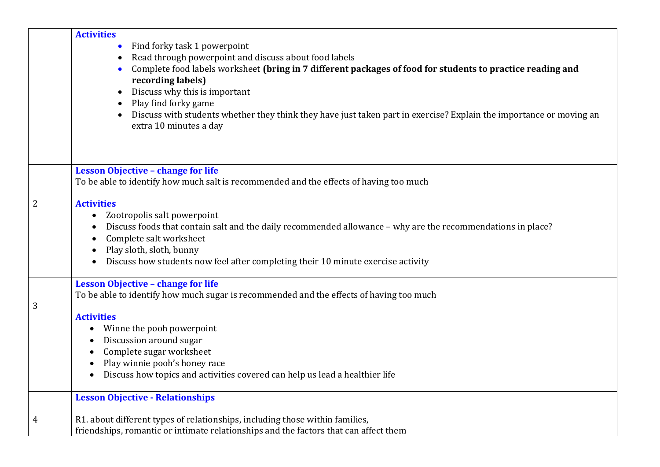|   | <b>Activities</b><br>Find forky task 1 powerpoint<br>Read through powerpoint and discuss about food labels<br>$\bullet$<br>Complete food labels worksheet (bring in 7 different packages of food for students to practice reading and<br>$\bullet$<br>recording labels)<br>Discuss why this is important<br>$\bullet$<br>Play find forky game<br>$\bullet$    |
|---|---------------------------------------------------------------------------------------------------------------------------------------------------------------------------------------------------------------------------------------------------------------------------------------------------------------------------------------------------------------|
|   | Discuss with students whether they think they have just taken part in exercise? Explain the importance or moving an<br>$\bullet$<br>extra 10 minutes a day                                                                                                                                                                                                    |
|   | <b>Lesson Objective - change for life</b><br>To be able to identify how much salt is recommended and the effects of having too much                                                                                                                                                                                                                           |
| 2 | <b>Activities</b><br>Zootropolis salt powerpoint<br>$\bullet$<br>Discuss foods that contain salt and the daily recommended allowance - why are the recommendations in place?<br>Complete salt worksheet<br>$\bullet$<br>Play sloth, sloth, bunny<br>Discuss how students now feel after completing their 10 minute exercise activity                          |
| 3 | <b>Lesson Objective - change for life</b><br>To be able to identify how much sugar is recommended and the effects of having too much<br><b>Activities</b><br>Winne the pooh powerpoint<br>Discussion around sugar<br>Complete sugar worksheet<br>Play winnie pooh's honey race<br>Discuss how topics and activities covered can help us lead a healthier life |
| 4 | <b>Lesson Objective - Relationships</b><br>R1. about different types of relationships, including those within families,<br>friendships, romantic or intimate relationships and the factors that can affect them                                                                                                                                               |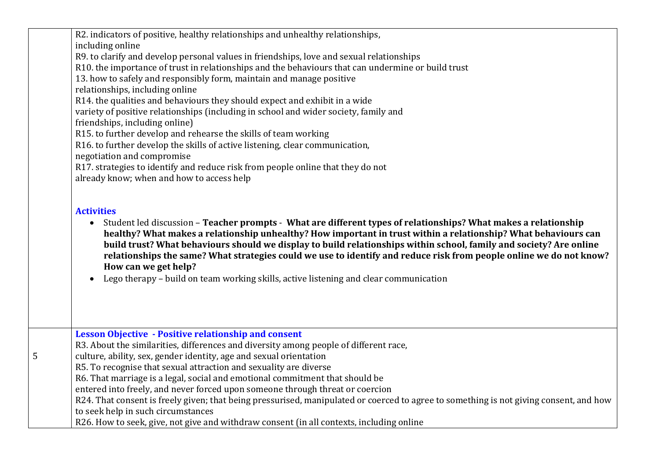|   | R2. indicators of positive, healthy relationships and unhealthy relationships,<br>including online                                                                                                                                                                                                                                                                                                                                                                                                                                                                                                             |
|---|----------------------------------------------------------------------------------------------------------------------------------------------------------------------------------------------------------------------------------------------------------------------------------------------------------------------------------------------------------------------------------------------------------------------------------------------------------------------------------------------------------------------------------------------------------------------------------------------------------------|
|   |                                                                                                                                                                                                                                                                                                                                                                                                                                                                                                                                                                                                                |
|   | R9. to clarify and develop personal values in friendships, love and sexual relationships                                                                                                                                                                                                                                                                                                                                                                                                                                                                                                                       |
|   | R10. the importance of trust in relationships and the behaviours that can undermine or build trust                                                                                                                                                                                                                                                                                                                                                                                                                                                                                                             |
|   | 13. how to safely and responsibly form, maintain and manage positive                                                                                                                                                                                                                                                                                                                                                                                                                                                                                                                                           |
|   | relationships, including online                                                                                                                                                                                                                                                                                                                                                                                                                                                                                                                                                                                |
|   | R14. the qualities and behaviours they should expect and exhibit in a wide                                                                                                                                                                                                                                                                                                                                                                                                                                                                                                                                     |
|   | variety of positive relationships (including in school and wider society, family and                                                                                                                                                                                                                                                                                                                                                                                                                                                                                                                           |
|   | friendships, including online)                                                                                                                                                                                                                                                                                                                                                                                                                                                                                                                                                                                 |
|   | R15. to further develop and rehearse the skills of team working                                                                                                                                                                                                                                                                                                                                                                                                                                                                                                                                                |
|   | R16. to further develop the skills of active listening, clear communication,                                                                                                                                                                                                                                                                                                                                                                                                                                                                                                                                   |
|   | negotiation and compromise                                                                                                                                                                                                                                                                                                                                                                                                                                                                                                                                                                                     |
|   | R17. strategies to identify and reduce risk from people online that they do not                                                                                                                                                                                                                                                                                                                                                                                                                                                                                                                                |
|   | already know; when and how to access help                                                                                                                                                                                                                                                                                                                                                                                                                                                                                                                                                                      |
|   |                                                                                                                                                                                                                                                                                                                                                                                                                                                                                                                                                                                                                |
|   | Student led discussion - Teacher prompts - What are different types of relationships? What makes a relationship<br>$\bullet$<br>healthy? What makes a relationship unhealthy? How important in trust within a relationship? What behaviours can<br>build trust? What behaviours should we display to build relationships within school, family and society? Are online<br>relationships the same? What strategies could we use to identify and reduce risk from people online we do not know?<br>How can we get help?<br>Lego therapy - build on team working skills, active listening and clear communication |
|   | <b>Lesson Objective - Positive relationship and consent</b>                                                                                                                                                                                                                                                                                                                                                                                                                                                                                                                                                    |
|   | R3. About the similarities, differences and diversity among people of different race,                                                                                                                                                                                                                                                                                                                                                                                                                                                                                                                          |
| 5 | culture, ability, sex, gender identity, age and sexual orientation                                                                                                                                                                                                                                                                                                                                                                                                                                                                                                                                             |
|   | R5. To recognise that sexual attraction and sexuality are diverse                                                                                                                                                                                                                                                                                                                                                                                                                                                                                                                                              |
|   | R6. That marriage is a legal, social and emotional commitment that should be                                                                                                                                                                                                                                                                                                                                                                                                                                                                                                                                   |
|   | entered into freely, and never forced upon someone through threat or coercion                                                                                                                                                                                                                                                                                                                                                                                                                                                                                                                                  |
|   | R24. That consent is freely given; that being pressurised, manipulated or coerced to agree to something is not giving consent, and how                                                                                                                                                                                                                                                                                                                                                                                                                                                                         |
|   | to seek help in such circumstances                                                                                                                                                                                                                                                                                                                                                                                                                                                                                                                                                                             |
|   | R26. How to seek, give, not give and withdraw consent (in all contexts, including online                                                                                                                                                                                                                                                                                                                                                                                                                                                                                                                       |